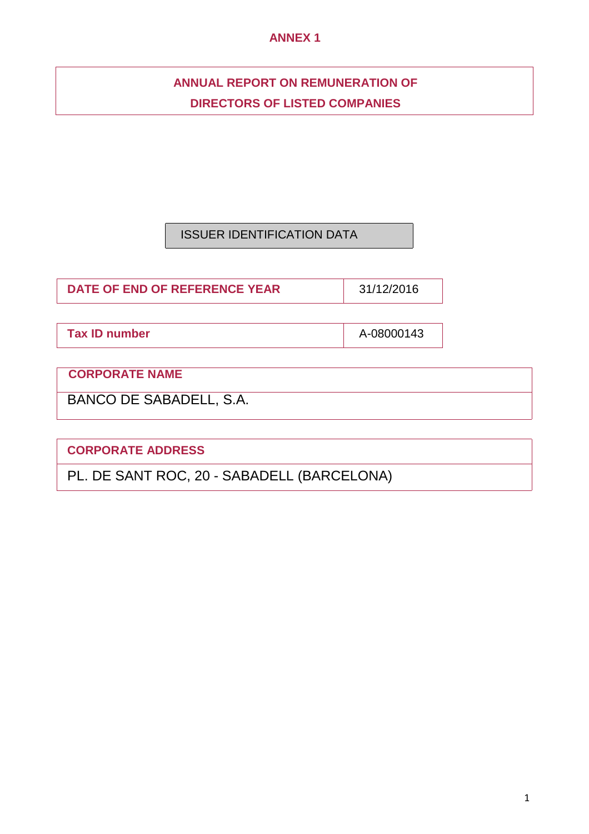## **ANNEX 1**

## **ANNUAL REPORT ON REMUNERATION OF DIRECTORS OF LISTED COMPANIES**

## ISSUER IDENTIFICATION DATA

**DATE OF END OF REFERENCE YEAR** 31/12/2016

**Tax ID number A-08000143** 

**CORPORATE NAME** 

BANCO DE SABADELL, S.A.

**CORPORATE ADDRESS**

PL. DE SANT ROC, 20 - SABADELL (BARCELONA)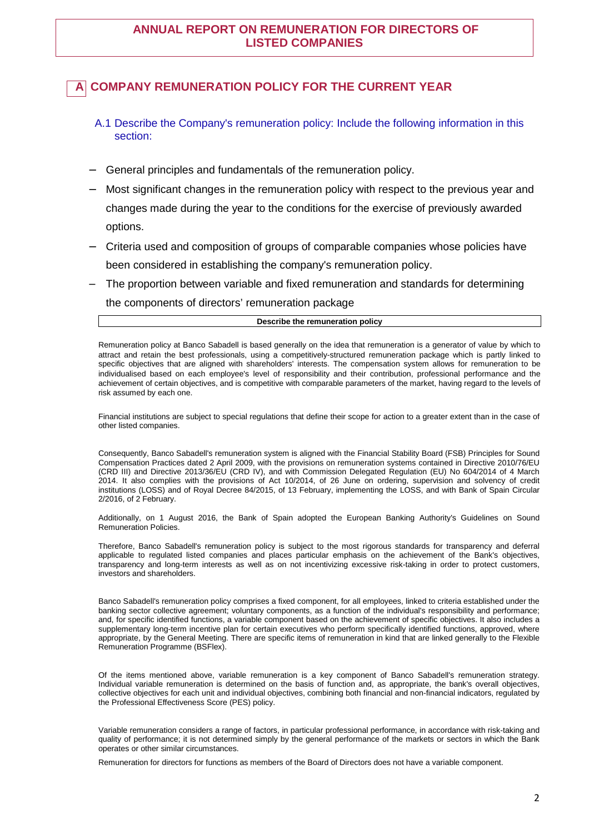## **ANNUAL REPORT ON REMUNERATION FOR DIRECTORS OF LISTED COMPANIES**

## **COMPANY REMUNERATION POLICY FOR THE CURRENT YEAR**

- A.1 Describe the Company's remuneration policy: Include the following information in this section:
- − General principles and fundamentals of the remuneration policy.
- Most significant changes in the remuneration policy with respect to the previous year and changes made during the year to the conditions for the exercise of previously awarded options.
- − Criteria used and composition of groups of comparable companies whose policies have been considered in establishing the company's remuneration policy.
- The proportion between variable and fixed remuneration and standards for determining

the components of directors' remuneration package

#### **Describe the remuneration policy**

Remuneration policy at Banco Sabadell is based generally on the idea that remuneration is a generator of value by which to attract and retain the best professionals, using a competitively-structured remuneration package which is partly linked to specific objectives that are aligned with shareholders' interests. The compensation system allows for remuneration to be individualised based on each employee's level of responsibility and their contribution, professional performance and the achievement of certain objectives, and is competitive with comparable parameters of the market, having regard to the levels of risk assumed by each one.

Financial institutions are subject to special regulations that define their scope for action to a greater extent than in the case of other listed companies.

Consequently, Banco Sabadell's remuneration system is aligned with the Financial Stability Board (FSB) Principles for Sound Compensation Practices dated 2 April 2009, with the provisions on remuneration systems contained in Directive 2010/76/EU (CRD III) and Directive 2013/36/EU (CRD IV), and with Commission Delegated Regulation (EU) No 604/2014 of 4 March 2014. It also complies with the provisions of Act 10/2014, of 26 June on ordering, supervision and solvency of credit institutions (LOSS) and of Royal Decree 84/2015, of 13 February, implementing the LOSS, and with Bank of Spain Circular 2/2016, of 2 February.

Additionally, on 1 August 2016, the Bank of Spain adopted the European Banking Authority's Guidelines on Sound Remuneration Policies.

Therefore, Banco Sabadell's remuneration policy is subject to the most rigorous standards for transparency and deferral applicable to regulated listed companies and places particular emphasis on the achievement of the Bank's objectives, transparency and long-term interests as well as on not incentivizing excessive risk-taking in order to protect customers, investors and shareholders.

Banco Sabadell's remuneration policy comprises a fixed component, for all employees, linked to criteria established under the banking sector collective agreement; voluntary components, as a function of the individual's responsibility and performance; and, for specific identified functions, a variable component based on the achievement of specific objectives. It also includes a supplementary long-term incentive plan for certain executives who perform specifically identified functions, approved, where appropriate, by the General Meeting. There are specific items of remuneration in kind that are linked generally to the Flexible Remuneration Programme (BSFlex).

Of the items mentioned above, variable remuneration is a key component of Banco Sabadell's remuneration strategy. Individual variable remuneration is determined on the basis of function and, as appropriate, the bank's overall objectives, collective objectives for each unit and individual objectives, combining both financial and non-financial indicators, regulated by the Professional Effectiveness Score (PES) policy.

Variable remuneration considers a range of factors, in particular professional performance, in accordance with risk-taking and quality of performance; it is not determined simply by the general performance of the markets or sectors in which the Bank operates or other similar circumstances.

Remuneration for directors for functions as members of the Board of Directors does not have a variable component.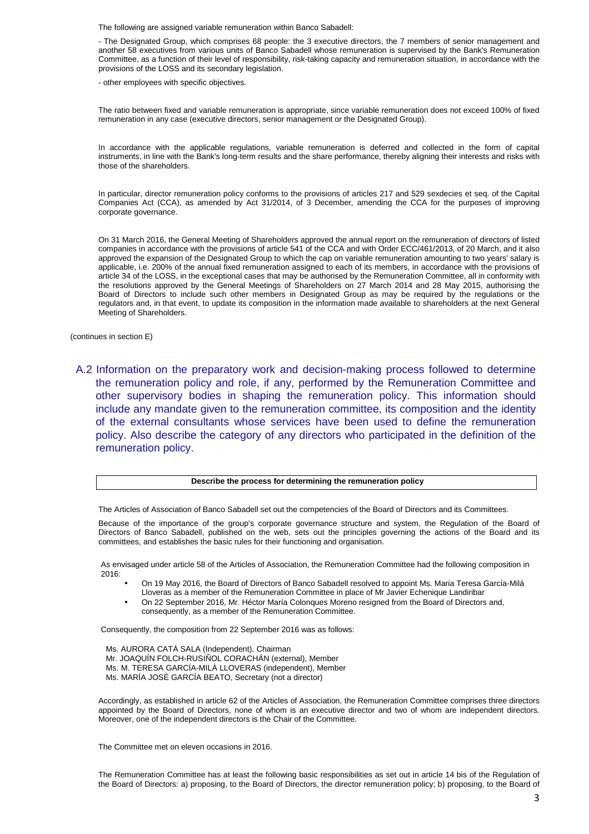The following are assigned variable remuneration within Banco Sabadell:

- The Designated Group, which comprises 68 people: the 3 executive directors, the 7 members of senior management and another 58 executives from various units of Banco Sabadell whose remuneration is supervised by the Bank's Remuneration Committee, as a function of their level of responsibility, risk-taking capacity and remuneration situation, in accordance with the provisions of the LOSS and its secondary legislation.

- other employees with specific objectives.

The ratio between fixed and variable remuneration is appropriate, since variable remuneration does not exceed 100% of fixed remuneration in any case (executive directors, senior management or the Designated Group).

In accordance with the applicable regulations, variable remuneration is deferred and collected in the form of capital instruments, in line with the Bank's long-term results and the share performance, thereby aligning their interests and risks with those of the shareholders.

In particular, director remuneration policy conforms to the provisions of articles 217 and 529 sexdecies et seq. of the Capital Companies Act (CCA), as amended by Act 31/2014, of 3 December, amending the CCA for the purposes of improving corporate governance.

On 31 March 2016, the General Meeting of Shareholders approved the annual report on the remuneration of directors of listed companies in accordance with the provisions of article 541 of the CCA and with Order ECC/461/2013, of 20 March, and it also approved the expansion of the Designated Group to which the cap on variable remuneration amounting to two years' salary is applicable, i.e. 200% of the annual fixed remuneration assigned to each of its members, in accordance with the provisions of article 34 of the LOSS, in the exceptional cases that may be authorised by the Remuneration Committee, all in conformity with the resolutions approved by the General Meetings of Shareholders on 27 March 2014 and 28 May 2015, authorising the Board of Directors to include such other members in Designated Group as may be required by the regulations or the regulators and, in that event, to update its composition in the information made available to shareholders at the next General Meeting of Shareholders.

(continues in section E)

A.2 Information on the preparatory work and decision-making process followed to determine the remuneration policy and role, if any, performed by the Remuneration Committee and other supervisory bodies in shaping the remuneration policy. This information should include any mandate given to the remuneration committee, its composition and the identity of the external consultants whose services have been used to define the remuneration policy. Also describe the category of any directors who participated in the definition of the remuneration policy.

#### **Describe the process for determining the remuneration policy**

The Articles of Association of Banco Sabadell set out the competencies of the Board of Directors and its Committees.

Because of the importance of the group's corporate governance structure and system, the Regulation of the Board of Directors of Banco Sabadell, published on the web, sets out the principles governing the actions of the Board and its committees, and establishes the basic rules for their functioning and organisation.

As envisaged under article 58 of the Articles of Association, the Remuneration Committee had the following composition in 2016:

- On 19 May 2016, the Board of Directors of Banco Sabadell resolved to appoint Ms. Maria Teresa García-Milá Lloveras as a member of the Remuneration Committee in place of Mr Javier Echenique Landiribar
- On 22 September 2016, Mr. Héctor María Colonques Moreno resigned from the Board of Directors and, consequently, as a member of the Remuneration Committee.

Consequently, the composition from 22 September 2016 was as follows:

Ms. AURORA CATÁ SALA (Independent), Chairman

Mr. JOAQUÍN FOLCH-RUSIÑOL CORACHÁN (external), Member

Ms. M. TERESA GARCÍA-MILÀ LLOVERAS (independent), Member

Ms. MARÍA JOSÉ GARCÍA BEATO, Secretary (not a director)

Accordingly, as established in article 62 of the Articles of Association, the Remuneration Committee comprises three directors appointed by the Board of Directors, none of whom is an executive director and two of whom are independent directors. Moreover, one of the independent directors is the Chair of the Committee.

The Committee met on eleven occasions in 2016.

The Remuneration Committee has at least the following basic responsibilities as set out in article 14 bis of the Regulation of the Board of Directors: a) proposing, to the Board of Directors, the director remuneration policy; b) proposing, to the Board of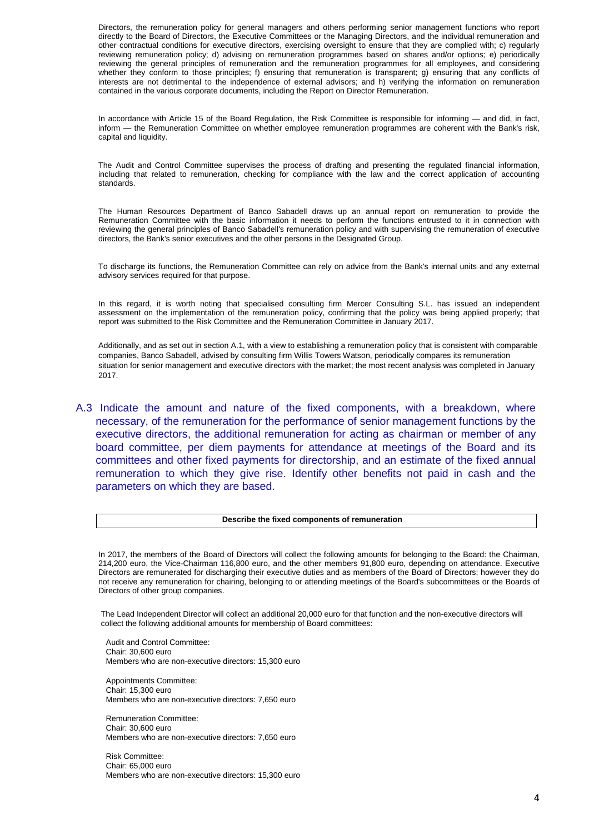Directors, the remuneration policy for general managers and others performing senior management functions who report directly to the Board of Directors, the Executive Committees or the Managing Directors, and the individual remuneration and other contractual conditions for executive directors, exercising oversight to ensure that they are complied with; c) regularly reviewing remuneration policy; d) advising on remuneration programmes based on shares and/or options; e) periodically reviewing the general principles of remuneration and the remuneration programmes for all employees, and considering whether they conform to those principles; f) ensuring that remuneration is transparent; g) ensuring that any conflicts of interests are not detrimental to the independence of external advisors; and h) verifying the information on remuneration contained in the various corporate documents, including the Report on Director Remuneration.

In accordance with Article 15 of the Board Regulation, the Risk Committee is responsible for informing — and did, in fact, inform — the Remuneration Committee on whether employee remuneration programmes are coherent with the Bank's risk, capital and liquidity.

The Audit and Control Committee supervises the process of drafting and presenting the regulated financial information, including that related to remuneration, checking for compliance with the law and the correct application of accounting standards.

The Human Resources Department of Banco Sabadell draws up an annual report on remuneration to provide the Remuneration Committee with the basic information it needs to perform the functions entrusted to it in connection with reviewing the general principles of Banco Sabadell's remuneration policy and with supervising the remuneration of executive directors, the Bank's senior executives and the other persons in the Designated Group.

To discharge its functions, the Remuneration Committee can rely on advice from the Bank's internal units and any external advisory services required for that purpose.

In this regard, it is worth noting that specialised consulting firm Mercer Consulting S.L. has issued an independent assessment on the implementation of the remuneration policy, confirming that the policy was being applied properly; that report was submitted to the Risk Committee and the Remuneration Committee in January 2017.

Additionally, and as set out in section A.1, with a view to establishing a remuneration policy that is consistent with comparable companies, Banco Sabadell, advised by consulting firm Willis Towers Watson, periodically compares its remuneration situation for senior management and executive directors with the market; the most recent analysis was completed in January 2017.

A.3 Indicate the amount and nature of the fixed components, with a breakdown, where necessary, of the remuneration for the performance of senior management functions by the executive directors, the additional remuneration for acting as chairman or member of any board committee, per diem payments for attendance at meetings of the Board and its committees and other fixed payments for directorship, and an estimate of the fixed annual remuneration to which they give rise. Identify other benefits not paid in cash and the parameters on which they are based.

#### **Describe the fixed components of remuneration**

In 2017, the members of the Board of Directors will collect the following amounts for belonging to the Board: the Chairman, 214,200 euro, the Vice-Chairman 116,800 euro, and the other members 91,800 euro, depending on attendance. Executive Directors are remunerated for discharging their executive duties and as members of the Board of Directors; however they do not receive any remuneration for chairing, belonging to or attending meetings of the Board's subcommittees or the Boards of Directors of other group companies.

The Lead Independent Director will collect an additional 20,000 euro for that function and the non-executive directors will collect the following additional amounts for membership of Board committees:

Audit and Control Committee: Chair: 30,600 euro Members who are non-executive directors: 15,300 euro

Appointments Committee: Chair: 15,300 euro Members who are non-executive directors: 7,650 euro

Remuneration Committee: Chair: 30,600 euro Members who are non-executive directors: 7,650 euro

Risk Committee: Chair: 65,000 euro Members who are non-executive directors: 15,300 euro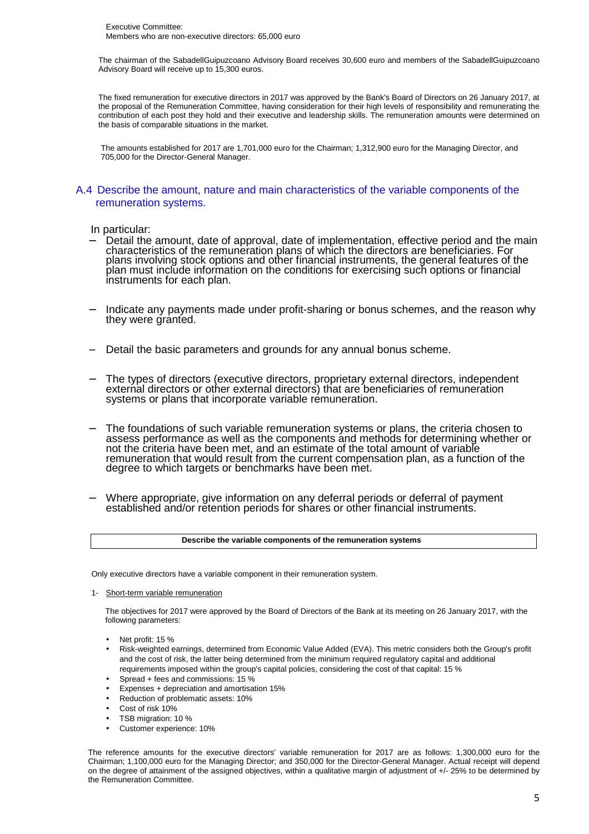The chairman of the SabadellGuipuzcoano Advisory Board receives 30,600 euro and members of the SabadellGuipuzcoano Advisory Board will receive up to 15,300 euros.

The fixed remuneration for executive directors in 2017 was approved by the Bank's Board of Directors on 26 January 2017, at the proposal of the Remuneration Committee, having consideration for their high levels of responsibility and remunerating the contribution of each post they hold and their executive and leadership skills. The remuneration amounts were determined on the basis of comparable situations in the market.

The amounts established for 2017 are 1,701,000 euro for the Chairman; 1,312,900 euro for the Managing Director, and 705,000 for the Director-General Manager.

### A.4 Describe the amount, nature and main characteristics of the variable components of the remuneration systems.

### In particular:

- Detail the amount, date of approval, date of implementation, effective period and the main characteristics of the remuneration plans of which the directors are beneficiaries. For plans involving stock options and other financial instruments, the general features of the plan must include information on the conditions for exercising such options or financial instruments for each plan.
- Indicate any payments made under profit-sharing or bonus schemes, and the reason why they were granted.
- − Detail the basic parameters and grounds for any annual bonus scheme.
- − The types of directors (executive directors, proprietary external directors, independent external directors or other external directors) that are beneficiaries of remuneration systems or plans that incorporate variable remuneration.
- The foundations of such variable remuneration systems or plans, the criteria chosen to assess performance as well as the components and methods for determining whether or not the criteria have been met, and an estimate of the total amount of variable remuneration that would result from the current compensation plan, as a function of the degree to which targets or benchmarks have been met.
- Where appropriate, give information on any deferral periods or deferral of payment established and/or retention periods for shares or other financial instruments.

#### **Describe the variable components of the remuneration systems**

Only executive directors have a variable component in their remuneration system.

1- Short-term variable remuneration

The objectives for 2017 were approved by the Board of Directors of the Bank at its meeting on 26 January 2017, with the following parameters:

- Net profit: 15 %
- Risk-weighted earnings, determined from Economic Value Added (EVA). This metric considers both the Group's profit and the cost of risk, the latter being determined from the minimum required regulatory capital and additional requirements imposed within the group's capital policies, considering the cost of that capital: 15 %
- Spread + fees and commissions: 15 %
- Expenses + depreciation and amortisation 15%
- Reduction of problematic assets: 10%
- Cost of risk 10%
- TSB migration: 10 %
- Customer experience: 10%

The reference amounts for the executive directors' variable remuneration for 2017 are as follows: 1,300,000 euro for the Chairman; 1,100,000 euro for the Managing Director; and 350,000 for the Director-General Manager. Actual receipt will depend on the degree of attainment of the assigned objectives, within a qualitative margin of adjustment of +/- 25% to be determined by the Remuneration Committee.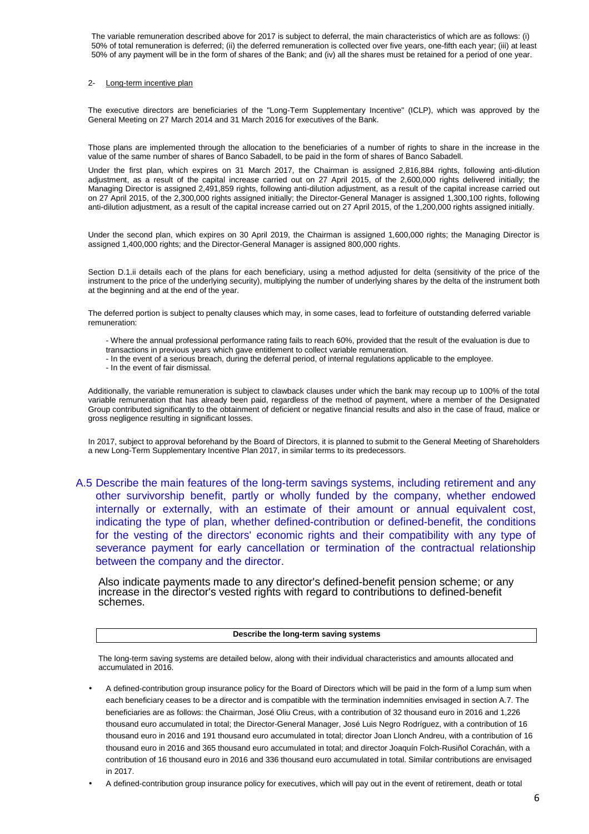The variable remuneration described above for 2017 is subject to deferral, the main characteristics of which are as follows: (i) 50% of total remuneration is deferred; (ii) the deferred remuneration is collected over five years, one-fifth each year; (iii) at least 50% of any payment will be in the form of shares of the Bank; and (iv) all the shares must be retained for a period of one year.

#### 2- Long-term incentive plan

The executive directors are beneficiaries of the "Long-Term Supplementary Incentive" (ICLP), which was approved by the General Meeting on 27 March 2014 and 31 March 2016 for executives of the Bank.

Those plans are implemented through the allocation to the beneficiaries of a number of rights to share in the increase in the value of the same number of shares of Banco Sabadell, to be paid in the form of shares of Banco Sabadell.

Under the first plan, which expires on 31 March 2017, the Chairman is assigned 2,816,884 rights, following anti-dilution adjustment, as a result of the capital increase carried out on 27 April 2015, of the 2,600,000 rights delivered initially; the Managing Director is assigned 2,491,859 rights, following anti-dilution adjustment, as a result of the capital increase carried out on 27 April 2015, of the 2,300,000 rights assigned initially; the Director-General Manager is assigned 1,300,100 rights, following anti-dilution adjustment, as a result of the capital increase carried out on 27 April 2015, of the 1,200,000 rights assigned initially.

Under the second plan, which expires on 30 April 2019, the Chairman is assigned 1,600,000 rights; the Managing Director is assigned 1,400,000 rights; and the Director-General Manager is assigned 800,000 rights.

Section D.1.ii details each of the plans for each beneficiary, using a method adjusted for delta (sensitivity of the price of the instrument to the price of the underlying security), multiplying the number of underlying shares by the delta of the instrument both at the beginning and at the end of the year.

The deferred portion is subject to penalty clauses which may, in some cases, lead to forfeiture of outstanding deferred variable remuneration:

- Where the annual professional performance rating fails to reach 60%, provided that the result of the evaluation is due to

- transactions in previous years which gave entitlement to collect variable remuneration.
- In the event of a serious breach, during the deferral period, of internal regulations applicable to the employee.
- In the event of fair dismissal.

Additionally, the variable remuneration is subject to clawback clauses under which the bank may recoup up to 100% of the total variable remuneration that has already been paid, regardless of the method of payment, where a member of the Designated Group contributed significantly to the obtainment of deficient or negative financial results and also in the case of fraud, malice or gross negligence resulting in significant losses.

In 2017, subject to approval beforehand by the Board of Directors, it is planned to submit to the General Meeting of Shareholders a new Long-Term Supplementary Incentive Plan 2017, in similar terms to its predecessors.

A.5 Describe the main features of the long-term savings systems, including retirement and any other survivorship benefit, partly or wholly funded by the company, whether endowed internally or externally, with an estimate of their amount or annual equivalent cost, indicating the type of plan, whether defined-contribution or defined-benefit, the conditions for the vesting of the directors' economic rights and their compatibility with any type of severance payment for early cancellation or termination of the contractual relationship between the company and the director.

Also indicate payments made to any director's defined-benefit pension scheme; or any increase in the director's vested rights with regard to contributions to defined-benefit schemes.

#### **Describe the long-term saving systems**

The long-term saving systems are detailed below, along with their individual characteristics and amounts allocated and accumulated in 2016.

• A defined-contribution group insurance policy for the Board of Directors which will be paid in the form of a lump sum when each beneficiary ceases to be a director and is compatible with the termination indemnities envisaged in section A.7. The beneficiaries are as follows: the Chairman, José Oliu Creus, with a contribution of 32 thousand euro in 2016 and 1,226 thousand euro accumulated in total; the Director-General Manager, José Luis Negro Rodríguez, with a contribution of 16 thousand euro in 2016 and 191 thousand euro accumulated in total; director Joan Llonch Andreu, with a contribution of 16 thousand euro in 2016 and 365 thousand euro accumulated in total; and director Joaquín Folch-Rusiñol Corachán, with a contribution of 16 thousand euro in 2016 and 336 thousand euro accumulated in total. Similar contributions are envisaged in 2017.

• A defined-contribution group insurance policy for executives, which will pay out in the event of retirement, death or total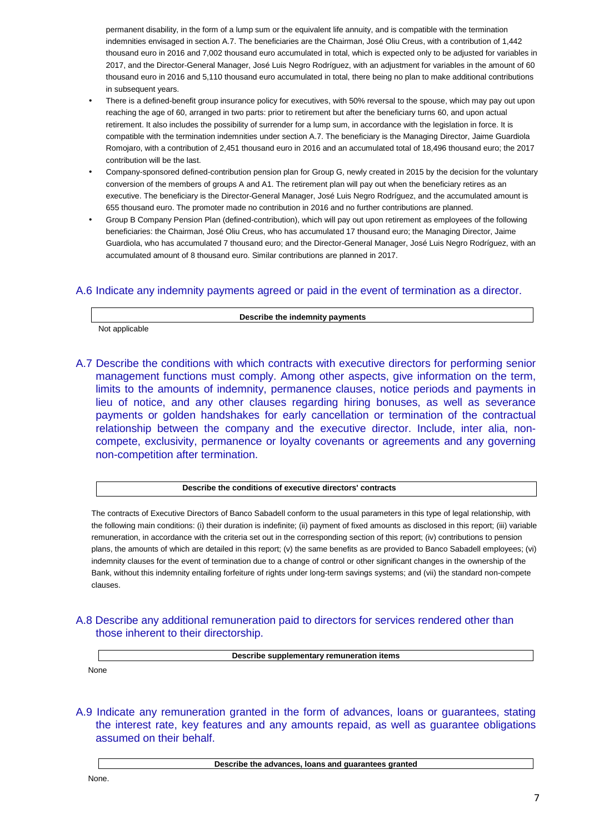permanent disability, in the form of a lump sum or the equivalent life annuity, and is compatible with the termination indemnities envisaged in section A.7. The beneficiaries are the Chairman, José Oliu Creus, with a contribution of 1,442 thousand euro in 2016 and 7,002 thousand euro accumulated in total, which is expected only to be adjusted for variables in 2017, and the Director-General Manager, José Luis Negro Rodríguez, with an adjustment for variables in the amount of 60 thousand euro in 2016 and 5,110 thousand euro accumulated in total, there being no plan to make additional contributions in subsequent years.

- There is a defined-benefit group insurance policy for executives, with 50% reversal to the spouse, which may pay out upon reaching the age of 60, arranged in two parts: prior to retirement but after the beneficiary turns 60, and upon actual retirement. It also includes the possibility of surrender for a lump sum, in accordance with the legislation in force. It is compatible with the termination indemnities under section A.7. The beneficiary is the Managing Director, Jaime Guardiola Romojaro, with a contribution of 2,451 thousand euro in 2016 and an accumulated total of 18,496 thousand euro; the 2017 contribution will be the last.
- Company-sponsored defined-contribution pension plan for Group G, newly created in 2015 by the decision for the voluntary conversion of the members of groups A and A1. The retirement plan will pay out when the beneficiary retires as an executive. The beneficiary is the Director-General Manager, José Luis Negro Rodríguez, and the accumulated amount is 655 thousand euro. The promoter made no contribution in 2016 and no further contributions are planned.
- Group B Company Pension Plan (defined-contribution), which will pay out upon retirement as employees of the following beneficiaries: the Chairman, José Oliu Creus, who has accumulated 17 thousand euro; the Managing Director, Jaime Guardiola, who has accumulated 7 thousand euro; and the Director-General Manager, José Luis Negro Rodríguez, with an accumulated amount of 8 thousand euro. Similar contributions are planned in 2017.

## A.6 Indicate any indemnity payments agreed or paid in the event of termination as a director.

**Describe the indemnity payments** 

Not applicable

A.7 Describe the conditions with which contracts with executive directors for performing senior management functions must comply. Among other aspects, give information on the term, limits to the amounts of indemnity, permanence clauses, notice periods and payments in lieu of notice, and any other clauses regarding hiring bonuses, as well as severance payments or golden handshakes for early cancellation or termination of the contractual relationship between the company and the executive director. Include, inter alia, noncompete, exclusivity, permanence or loyalty covenants or agreements and any governing non-competition after termination.

#### **Describe the conditions of executive directors' contracts**

The contracts of Executive Directors of Banco Sabadell conform to the usual parameters in this type of legal relationship, with the following main conditions: (i) their duration is indefinite; (ii) payment of fixed amounts as disclosed in this report; (iii) variable remuneration, in accordance with the criteria set out in the corresponding section of this report; (iv) contributions to pension plans, the amounts of which are detailed in this report; (v) the same benefits as are provided to Banco Sabadell employees; (vi) indemnity clauses for the event of termination due to a change of control or other significant changes in the ownership of the Bank, without this indemnity entailing forfeiture of rights under long-term savings systems; and (vii) the standard non-compete clauses.

## A.8 Describe any additional remuneration paid to directors for services rendered other than those inherent to their directorship.

**Describe supplementary remuneration items** 

None

A.9 Indicate any remuneration granted in the form of advances, loans or guarantees, stating the interest rate, key features and any amounts repaid, as well as guarantee obligations assumed on their behalf.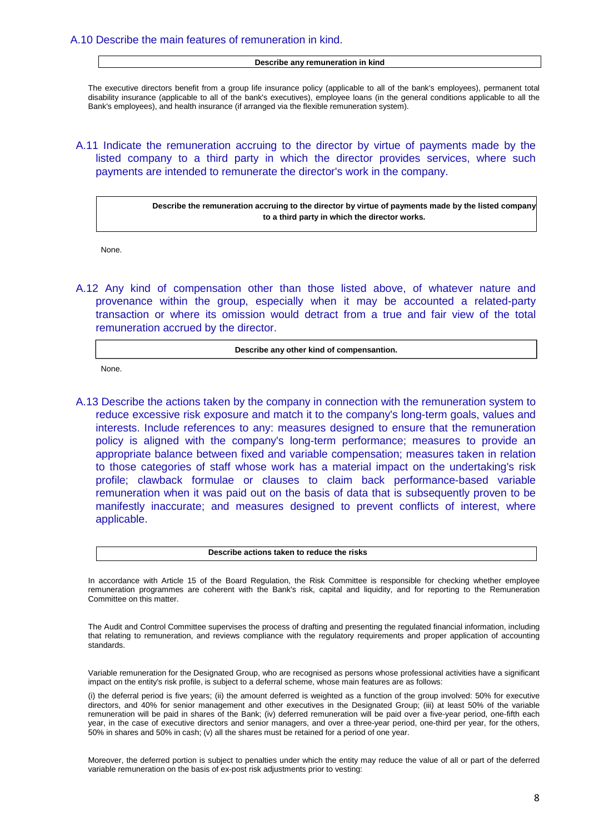### A.10 Describe the main features of remuneration in kind.

#### **Describe any remuneration in kind**

The executive directors benefit from a group life insurance policy (applicable to all of the bank's employees), permanent total disability insurance (applicable to all of the bank's executives), employee loans (in the general conditions applicable to all the Bank's employees), and health insurance (if arranged via the flexible remuneration system).

## A.11 Indicate the remuneration accruing to the director by virtue of payments made by the listed company to a third party in which the director provides services, where such payments are intended to remunerate the director's work in the company.

**Describe the remuneration accruing to the director by virtue of payments made by the listed company to a third party in which the director works.** 

None.

A.12 Any kind of compensation other than those listed above, of whatever nature and provenance within the group, especially when it may be accounted a related-party transaction or where its omission would detract from a true and fair view of the total remuneration accrued by the director.

#### **Describe any other kind of compensantion.**

None.

A.13 Describe the actions taken by the company in connection with the remuneration system to reduce excessive risk exposure and match it to the company's long-term goals, values and interests. Include references to any: measures designed to ensure that the remuneration policy is aligned with the company's long-term performance; measures to provide an appropriate balance between fixed and variable compensation; measures taken in relation to those categories of staff whose work has a material impact on the undertaking's risk profile; clawback formulae or clauses to claim back performance-based variable remuneration when it was paid out on the basis of data that is subsequently proven to be manifestly inaccurate; and measures designed to prevent conflicts of interest, where applicable.

#### **Describe actions taken to reduce the risks**

In accordance with Article 15 of the Board Regulation, the Risk Committee is responsible for checking whether employee remuneration programmes are coherent with the Bank's risk, capital and liquidity, and for reporting to the Remuneration Committee on this matter.

The Audit and Control Committee supervises the process of drafting and presenting the regulated financial information, including that relating to remuneration, and reviews compliance with the regulatory requirements and proper application of accounting standards.

Variable remuneration for the Designated Group, who are recognised as persons whose professional activities have a significant impact on the entity's risk profile, is subject to a deferral scheme, whose main features are as follows:

(i) the deferral period is five years; (ii) the amount deferred is weighted as a function of the group involved: 50% for executive directors, and 40% for senior management and other executives in the Designated Group; (iii) at least 50% of the variable remuneration will be paid in shares of the Bank; (iv) deferred remuneration will be paid over a five-year period, one-fifth each year, in the case of executive directors and senior managers, and over a three-year period, one-third per year, for the others, 50% in shares and 50% in cash; (v) all the shares must be retained for a period of one year.

Moreover, the deferred portion is subject to penalties under which the entity may reduce the value of all or part of the deferred variable remuneration on the basis of ex-post risk adjustments prior to vesting: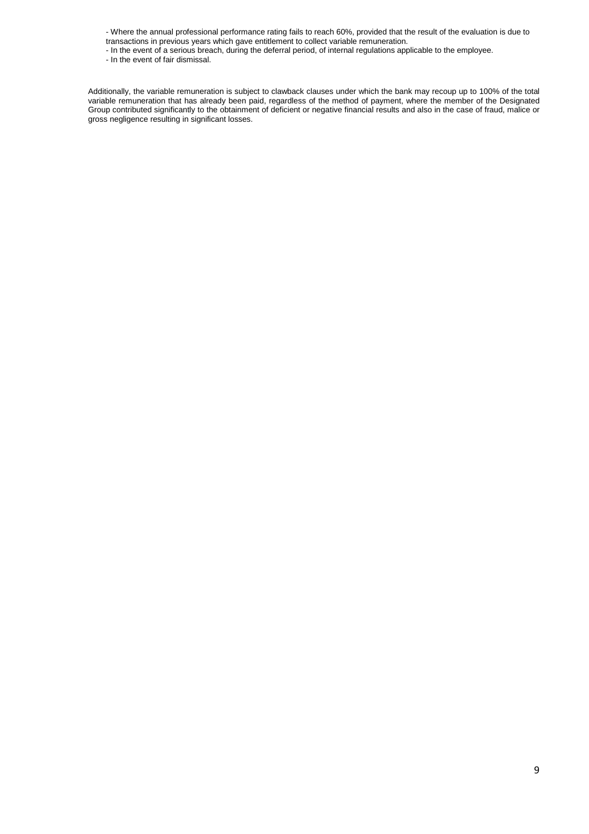- Where the annual professional performance rating fails to reach 60%, provided that the result of the evaluation is due to transactions in previous years which gave entitlement to collect variable remuneration.

- In the event of a serious breach, during the deferral period, of internal regulations applicable to the employee.

- In the event of fair dismissal.

Additionally, the variable remuneration is subject to clawback clauses under which the bank may recoup up to 100% of the total variable remuneration that has already been paid, regardless of the method of payment, where the member of the Designated Group contributed significantly to the obtainment of deficient or negative financial results and also in the case of fraud, malice or gross negligence resulting in significant losses.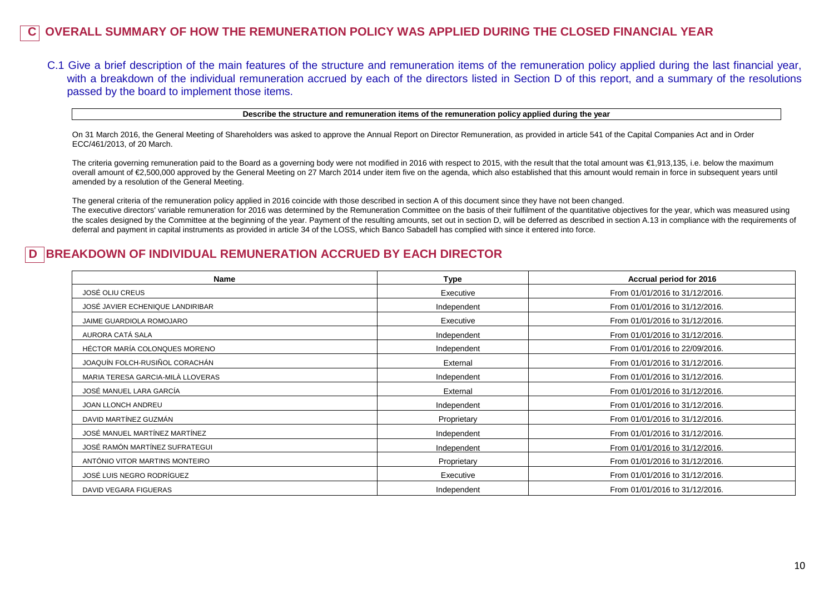## **C OVERALL SUMMARY OF HOW THE REMUNERATION POLICY WAS APPLIED DURING THE CLOSED FINANCIAL YEAR**

C.1 Give a brief description of the main features of the structure and remuneration items of the remuneration policy applied during the last financial year, with a breakdown of the individual remuneration accrued by each of the directors listed in Section D of this report, and a summary of the resolutions passed by the board to implement those items.

#### **Describe the structure and remuneration items of the remuneration policy applied during the year**

On 31 March 2016, the General Meeting of Shareholders was asked to approve the Annual Report on Director Remuneration, as provided in article 541 of the Capital Companies Act and in Order ECC/461/2013, of 20 March.

The criteria governing remuneration paid to the Board as a governing body were not modified in 2016 with respect to 2015, with the result that the total amount was  $\epsilon$ 1,913,135, i.e. below the maximum overall amount of €2,500,000 approved by the General Meeting on 27 March 2014 under item five on the agenda, which also established that this amount would remain in force in subsequent years until amended by a resolution of the General Meeting.

The general criteria of the remuneration policy applied in 2016 coincide with those described in section A of this document since they have not been changed. The executive directors' variable remuneration for 2016 was determined by the Remuneration Committee on the basis of their fulfilment of the quantitative objectives for the year, which was measured using the scales designed by the Committee at the beginning of the year. Payment of the resulting amounts, set out in section D, will be deferred as described in section A.13 in compliance with the requirements of deferral and payment in capital instruments as provided in article 34 of the LOSS, which Banco Sabadell has complied with since it entered into force.

## **BREAKDOWN OF INDIVIDUAL REMUNERATION ACCRUED BY EACH DIRECTOR**

| Name                              | <b>Type</b> | Accrual period for 2016        |
|-----------------------------------|-------------|--------------------------------|
| <b>JOSÉ OLIU CREUS</b>            | Executive   | From 01/01/2016 to 31/12/2016. |
| JOSÉ JAVIER ECHENIQUE LANDIRIBAR  | Independent | From 01/01/2016 to 31/12/2016. |
| JAIME GUARDIOLA ROMOJARO          | Executive   | From 01/01/2016 to 31/12/2016. |
| AURORA CATÁ SALA                  | Independent | From 01/01/2016 to 31/12/2016. |
| HÉCTOR MARÍA COLONQUES MORENO     | Independent | From 01/01/2016 to 22/09/2016. |
| JOAQUÍN FOLCH-RUSIÑOL CORACHÁN    | External    | From 01/01/2016 to 31/12/2016. |
| MARIA TERESA GARCIA-MILÀ LLOVERAS | Independent | From 01/01/2016 to 31/12/2016. |
| JOSÉ MANUEL LARA GARCÍA           | External    | From 01/01/2016 to 31/12/2016. |
| JOAN LLONCH ANDREU                | Independent | From 01/01/2016 to 31/12/2016. |
| DAVID MARTÍNEZ GUZMÁN             | Proprietary | From 01/01/2016 to 31/12/2016. |
| JOSÉ MANUEL MARTÍNEZ MARTÍNEZ     | Independent | From 01/01/2016 to 31/12/2016. |
| JOSÉ RAMÓN MARTÍNEZ SUFRATEGUI    | Independent | From 01/01/2016 to 31/12/2016. |
| ANTÓNIO VITOR MARTINS MONTEIRO    | Proprietary | From 01/01/2016 to 31/12/2016. |
| JOSÉ LUIS NEGRO RODRÍGUEZ         | Executive   | From 01/01/2016 to 31/12/2016. |
| DAVID VEGARA FIGUERAS             | Independent | From 01/01/2016 to 31/12/2016. |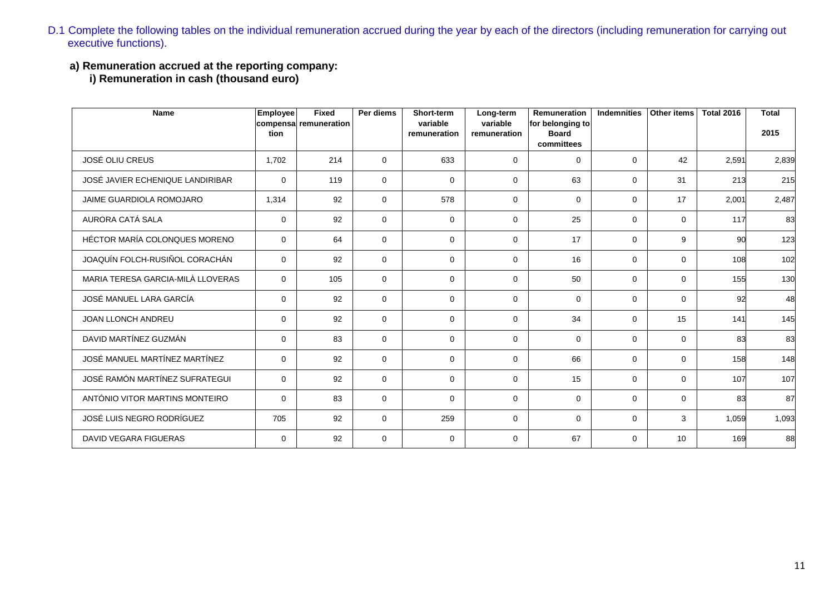- D.1 Complete the following tables on the individual remuneration accrued during the year by each of the directors (including remuneration for carrying out executive functions).
	- **a) Remuneration accrued at the reporting company:**

**i) Remuneration in cash (thousand euro)**

| Name                              | <b>Employee</b> | <b>Fixed</b>          | Per diems   | Short-term               | Long-term                | Remuneration                     | <b>Indemnities</b> | <b>Other items</b> | <b>Total 2016</b> | <b>Total</b> |
|-----------------------------------|-----------------|-----------------------|-------------|--------------------------|--------------------------|----------------------------------|--------------------|--------------------|-------------------|--------------|
|                                   | tion            | compensa remuneration |             | variable<br>remuneration | variable<br>remuneration | for belonging to<br><b>Board</b> |                    |                    |                   | 2015         |
|                                   |                 |                       |             |                          |                          | committees                       |                    |                    |                   |              |
| <b>JOSÉ OLIU CREUS</b>            | 1,702           | 214                   | $\mathbf 0$ | 633                      | $\Omega$                 | $\mathbf 0$                      | $\mathbf 0$        | 42                 | 2,591             | 2,839        |
| JOSÉ JAVIER ECHENIQUE LANDIRIBAR  | $\mathbf 0$     | 119                   | $\mathbf 0$ | $\mathbf 0$              | $\mathbf 0$              | 63                               | $\mathbf 0$        | 31                 | 213               | 215          |
| <b>JAIME GUARDIOLA ROMOJARO</b>   | 1,314           | 92                    | $\mathbf 0$ | 578                      | $\mathbf 0$              | 0                                | 0                  | 17                 | 2,001             | 2,487        |
| AURORA CATÁ SALA                  | $\Omega$        | 92                    | $\Omega$    | $\Omega$                 | $\Omega$                 | 25                               | $\mathbf 0$        | $\Omega$           | 117               | 83           |
| HÉCTOR MARÍA COLONQUES MORENO     | $\Omega$        | 64                    | $\mathbf 0$ | $\Omega$                 | $\Omega$                 | 17                               | $\mathbf 0$        | 9                  | 90                | 123          |
| JOAQUÍN FOLCH-RUSIÑOL CORACHÁN    | $\Omega$        | 92                    | $\mathbf 0$ | $\Omega$                 | $\Omega$                 | 16                               | $\mathbf 0$        | $\Omega$           | 108               | 102          |
| MARIA TERESA GARCIA-MILÀ LLOVERAS | $\Omega$        | 105                   | $\mathbf 0$ | $\Omega$                 | $\Omega$                 | 50                               | $\mathbf 0$        | $\Omega$           | 155               | 130          |
| JOSÉ MANUEL LARA GARCÍA           | $\mathbf 0$     | 92                    | $\mathbf 0$ | $\mathbf 0$              | $\mathbf 0$              | 0                                | 0                  | $\mathbf 0$        | 92                | 48           |
| <b>JOAN LLONCH ANDREU</b>         | $\mathbf 0$     | 92                    | $\mathbf 0$ | $\mathbf 0$              | $\Omega$                 | 34                               | $\mathbf 0$        | 15                 | 141               | 145          |
| DAVID MARTÍNEZ GUZMÁN             | $\Omega$        | 83                    | $\mathbf 0$ | $\Omega$                 | $\Omega$                 | $\mathbf 0$                      | $\mathbf 0$        | $\mathbf 0$        | 83                | 83           |
| JOSÉ MANUEL MARTÍNEZ MARTÍNEZ     | $\Omega$        | 92                    | $\Omega$    | $\mathbf{0}$             | $\Omega$                 | 66                               | $\mathbf 0$        | $\Omega$           | 158               | 148          |
| JOSÉ RAMÓN MARTÍNEZ SUFRATEGUI    | $\Omega$        | 92                    | $\mathbf 0$ | $\mathbf 0$              | $\Omega$                 | 15                               | $\mathbf 0$        | $\mathbf 0$        | 107               | 107          |
| ANTÓNIO VITOR MARTINS MONTEIRO    | $\Omega$        | 83                    | $\mathbf 0$ | $\mathbf 0$              | $\mathbf 0$              | 0                                | 0                  | $\mathbf 0$        | 83                | 87           |
| JOSÉ LUIS NEGRO RODRÍGUEZ         | 705             | 92                    | $\mathbf 0$ | 259                      | $\Omega$                 | 0                                | 0                  | 3                  | 1,059             | 1,093        |
| DAVID VEGARA FIGUERAS             | $\Omega$        | 92                    | $\mathbf 0$ | $\Omega$                 | $\Omega$                 | 67                               | 0                  | 10                 | 169               | 88           |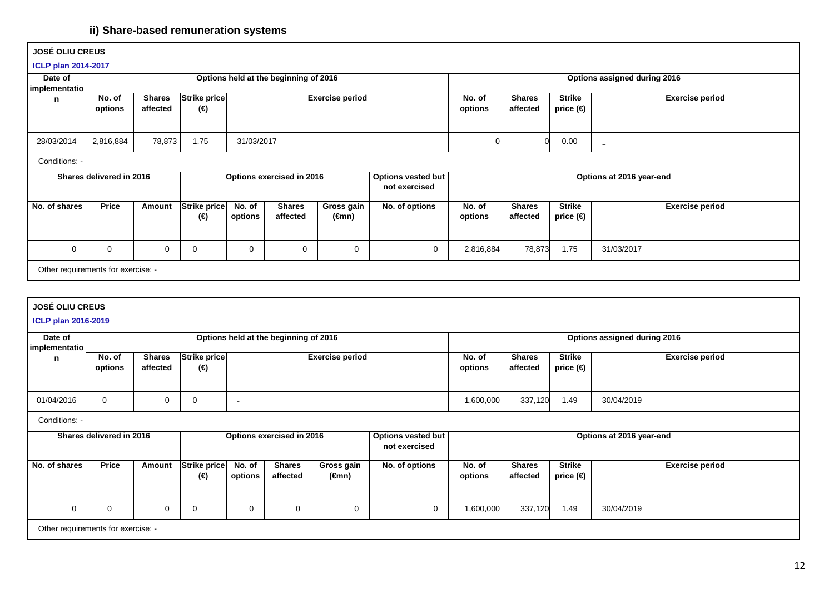## **ii) Share-based remuneration systems**

| <b>JOSÉ OLIU CREUS</b>     |                                    |               |                            |                   |                                       |                        |                                            |                   |                           |                            |                              |
|----------------------------|------------------------------------|---------------|----------------------------|-------------------|---------------------------------------|------------------------|--------------------------------------------|-------------------|---------------------------|----------------------------|------------------------------|
| <b>ICLP plan 2014-2017</b> |                                    |               |                            |                   |                                       |                        |                                            |                   |                           |                            |                              |
| Date of                    |                                    |               |                            |                   | Options held at the beginning of 2016 |                        |                                            |                   |                           |                            | Options assigned during 2016 |
| implementatio  <br>n       | No. of                             | <b>Shares</b> | Strike price               |                   |                                       | <b>Exercise period</b> |                                            | No. of            | <b>Shares</b>             | <b>Strike</b>              | <b>Exercise period</b>       |
|                            | options                            | affected      | (€)                        |                   |                                       |                        |                                            | options           | affected                  | price $(\in)$              |                              |
|                            |                                    |               |                            |                   |                                       |                        |                                            |                   |                           |                            |                              |
| 28/03/2014                 | 2,816,884                          | 78,873        | 1.75                       | 31/03/2017        |                                       |                        |                                            |                   |                           | 0.00                       | $\overline{\phantom{a}}$     |
| Conditions:                |                                    |               |                            |                   |                                       |                        |                                            |                   |                           |                            |                              |
|                            | Shares delivered in 2016           |               |                            |                   | Options exercised in 2016             |                        | <b>Options vested but</b><br>not exercised |                   |                           |                            | Options at 2016 year-end     |
| No. of shares              | Price                              | Amount        | <b>Strike price</b><br>(€) | No. of<br>options | <b>Shares</b><br>affected             | Gross gain<br>(€mn)    | No. of options                             | No. of<br>options | <b>Shares</b><br>affected | <b>Strike</b><br>price (€) | <b>Exercise period</b>       |
| 0                          | 0                                  | $\mathbf 0$   | 0                          | 0                 | 0                                     | 0                      | $\overline{0}$                             | 2,816,884         | 78,873                    | 1.75                       | 31/03/2017                   |
|                            | Other requirements for exercise: - |               |                            |                   |                                       |                        |                                            |                   |                           |                            |                              |

|  | <b>JOSE OLIU CREUS</b> |
|--|------------------------|
|  |                        |

**ICLP plan 2016-2019**

| Date of       | Options held at the beginning of 2016 |                                    |                     |                          |                           |                        |                                     |                   | Options assigned during 2016 |                            |                          |  |
|---------------|---------------------------------------|------------------------------------|---------------------|--------------------------|---------------------------|------------------------|-------------------------------------|-------------------|------------------------------|----------------------------|--------------------------|--|
| implementatio | No. of                                | <b>Shares</b>                      | Strike price        |                          |                           | <b>Exercise period</b> |                                     | No. of            | <b>Shares</b>                | <b>Strike</b>              | <b>Exercise period</b>   |  |
| n             | options                               | affected                           | (€)                 |                          |                           |                        |                                     | options           | affected                     | price (€)                  |                          |  |
|               |                                       |                                    |                     |                          |                           |                        |                                     |                   |                              |                            |                          |  |
| 01/04/2016    | $\mathbf 0$                           | $\Omega$                           | 0                   | $\overline{\phantom{a}}$ |                           |                        |                                     | 1,600,000         | 337,120                      | 1.49                       | 30/04/2019               |  |
| Conditions: - |                                       |                                    |                     |                          |                           |                        |                                     |                   |                              |                            |                          |  |
|               | Shares delivered in 2016              |                                    |                     |                          | Options exercised in 2016 |                        | Options vested but<br>not exercised |                   |                              |                            | Options at 2016 year-end |  |
| No. of shares | <b>Price</b>                          | Amount                             | Strike price<br>(€) | No. of<br>options        | <b>Shares</b><br>affected | Gross gain<br>(€mn)    | No. of options                      | No. of<br>options | <b>Shares</b><br>affected    | <b>Strike</b><br>price (€) | <b>Exercise period</b>   |  |
|               |                                       |                                    |                     |                          |                           |                        |                                     | 1,600,000         |                              |                            |                          |  |
| 0             | $\mathbf 0$                           | $\Omega$                           | 0                   |                          | 0<br>0<br>$\Omega$        |                        |                                     |                   | 337,120                      | 1.49                       | 30/04/2019               |  |
|               |                                       | Other requirements for exercise: - |                     |                          |                           |                        |                                     |                   |                              |                            |                          |  |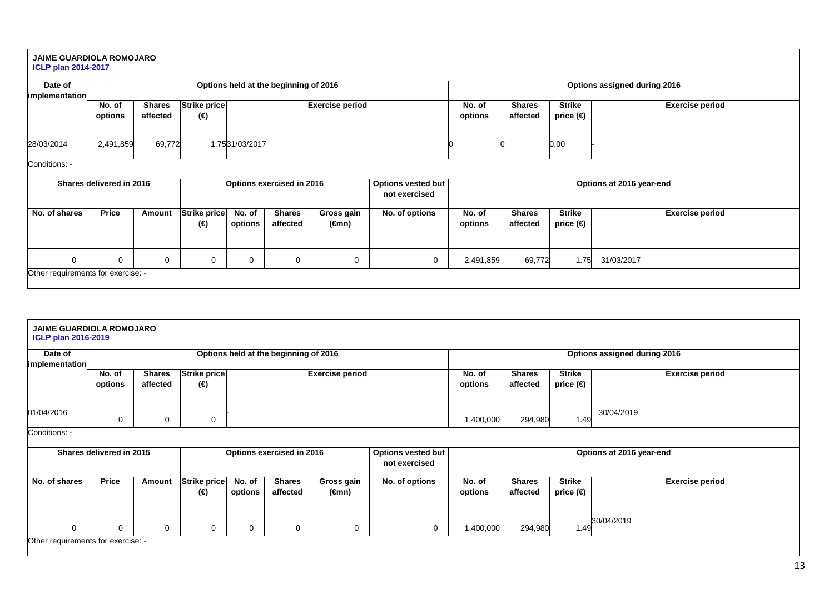#### **JAIME GUARDIOLA ROMOJARO ICLP plan 2014-2017**

#### **Date of implementationOptions held at the beginning of 2016 Options assigned during 2016 No. of options Shares affected Strike price(€) Exercise period No. of options Shares affected Strike price (€) Exercise period**28/03/2014 2,491,859 69,772 1.7531/03/2017 0 0 0.00 - Conditions: - **Shares delivered in 2016 Options exercised in 2016 Options vested but not exercised Options at 2016 year-endNo. of shares Price Amount Strike price (€) No. of options Shares affected Gross gain (€mn) No. of options No. of options Shares affected Strike price (€) Exercise period**0 0 0 0 0 0 0 0 2,491,859 69,772 1.75 31/03/2017 Other requirements for exercise: -

| <b>JAIME GUARDIOLA ROMOJARO</b><br><b>ICLP plan 2016-2019</b>       |                          |                           |                     |                   |                                       |                        |                                     |                   |                           |                            |                              |
|---------------------------------------------------------------------|--------------------------|---------------------------|---------------------|-------------------|---------------------------------------|------------------------|-------------------------------------|-------------------|---------------------------|----------------------------|------------------------------|
| Date of                                                             |                          |                           |                     |                   | Options held at the beginning of 2016 |                        |                                     |                   |                           |                            | Options assigned during 2016 |
| implementation                                                      |                          |                           |                     |                   |                                       |                        |                                     |                   |                           |                            |                              |
|                                                                     | No. of<br>options        | <b>Shares</b><br>affected | Strike price<br>(€) |                   |                                       | <b>Exercise period</b> |                                     | No. of<br>options | <b>Shares</b><br>affected | <b>Strike</b><br>price (€) | <b>Exercise period</b>       |
| 01/04/2016                                                          | $\Omega$                 | $\Omega$                  | 0                   |                   |                                       |                        |                                     | 1,400,000         | 294,980                   | 1.49                       | 30/04/2019                   |
| Conditions: -                                                       |                          |                           |                     |                   |                                       |                        |                                     |                   |                           |                            |                              |
|                                                                     | Shares delivered in 2015 |                           |                     |                   | Options exercised in 2016             |                        | Options vested but<br>not exercised |                   |                           |                            | Options at 2016 year-end     |
| No. of shares                                                       | <b>Price</b>             | Amount                    | Strike price<br>(€) | No. of<br>options | <b>Shares</b><br>affected             | Gross gain<br>(€mn)    | No. of options                      | No. of<br>options | <b>Shares</b><br>affected | <b>Strike</b><br>price (€) | <b>Exercise period</b>       |
| $\Omega$                                                            | 0                        | $\mathbf 0$               | 0                   | $\Omega$          | 0                                     | 0                      | 0                                   | 1,400,000         |                           |                            |                              |
| 30/04/2019<br>294,980<br>1.49<br>Other requirements for exercise: - |                          |                           |                     |                   |                                       |                        |                                     |                   |                           |                            |                              |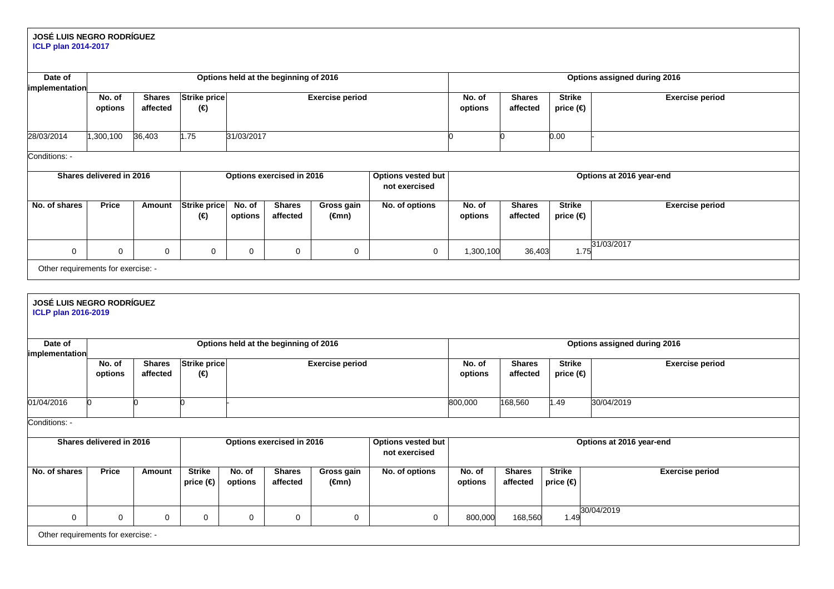# **JOSÉ LUIS NEGRO RODRÍGUEZ ICLP plan 2014-2017**

| Date of<br>implementation                                      |                          |                           |                                |                   | Options held at the beginning of 2016                                   |                               |                                     |                   |                           |                                | Options assigned during 2016 |  |  |
|----------------------------------------------------------------|--------------------------|---------------------------|--------------------------------|-------------------|-------------------------------------------------------------------------|-------------------------------|-------------------------------------|-------------------|---------------------------|--------------------------------|------------------------------|--|--|
|                                                                | No. of<br>options        | <b>Shares</b><br>affected | <b>Strike price</b><br>(€)     |                   | <b>Exercise period</b>                                                  |                               |                                     | No. of<br>options | <b>Shares</b><br>affected | <b>Strike</b><br>price $(\in)$ | <b>Exercise period</b>       |  |  |
| 28/03/2014                                                     | 1,300,100                | 36,403                    | 1.75                           | 31/03/2017        |                                                                         |                               |                                     |                   |                           | 0.00                           |                              |  |  |
| Conditions: -                                                  |                          |                           |                                |                   |                                                                         |                               |                                     |                   |                           |                                |                              |  |  |
|                                                                | Shares delivered in 2016 |                           |                                |                   | Options exercised in 2016                                               |                               | Options vested but<br>not exercised |                   |                           |                                | Options at 2016 year-end     |  |  |
| No. of shares                                                  | Price                    | Amount                    | Strike price<br>$(\epsilon)$   | No. of<br>options | <b>Shares</b><br>affected                                               | Gross gain<br>$(\epsilon$ mn) | No. of options                      | No. of<br>options | <b>Shares</b><br>affected | <b>Strike</b><br>price $(\in)$ | <b>Exercise period</b>       |  |  |
| $\mathbf 0$                                                    | 0                        | 0                         | 0                              | $\mathbf 0$       | $\mathbf 0$                                                             | $\mathbf 0$                   | 0                                   | 1,300,100         | 36,403                    | 1.75                           | 31/03/2017                   |  |  |
| Other requirements for exercise: -                             |                          |                           |                                |                   |                                                                         |                               |                                     |                   |                           |                                |                              |  |  |
|                                                                |                          |                           |                                |                   |                                                                         |                               |                                     |                   |                           |                                |                              |  |  |
| <b>JOSÉ LUIS NEGRO RODRÍGUEZ</b><br><b>ICLP plan 2016-2019</b> |                          |                           |                                |                   |                                                                         |                               |                                     |                   |                           |                                |                              |  |  |
| Date of<br>implementation                                      |                          |                           |                                |                   | Options held at the beginning of 2016                                   |                               |                                     |                   |                           |                                | Options assigned during 2016 |  |  |
|                                                                | No. of<br>options        | <b>Shares</b><br>affected | Strike price<br>(€)            |                   |                                                                         | <b>Exercise period</b>        |                                     | No. of<br>options | <b>Shares</b><br>affected | <b>Strike</b><br>price $($     | <b>Exercise period</b>       |  |  |
| 01/04/2016                                                     | U                        | n                         | n                              |                   |                                                                         |                               |                                     | 800,000           | 168,560                   | .49                            | 30/04/2019                   |  |  |
| Conditions: -                                                  |                          |                           |                                |                   |                                                                         |                               |                                     |                   |                           |                                |                              |  |  |
|                                                                | Shares delivered in 2016 |                           |                                |                   | Options exercised in 2016<br><b>Options vested but</b><br>not exercised |                               |                                     |                   |                           |                                | Options at 2016 year-end     |  |  |
| No. of shares                                                  | <b>Price</b>             | Amount                    | <b>Strike</b><br>price $(\in)$ | No. of<br>options | <b>Shares</b><br>affected                                               | Gross gain<br>$(\epsilon$ mn) | No. of options                      | No. of<br>options | <b>Shares</b><br>affected | <b>Strike</b><br>price $(\in)$ | <b>Exercise period</b>       |  |  |
| 0                                                              | 0                        | 0                         | 0                              | $\mathbf 0$       | $\mathbf 0$                                                             | 0                             | 0                                   | 800,000           | 168,560                   | 1.49                           | 30/04/2019                   |  |  |
|                                                                |                          |                           |                                |                   |                                                                         |                               |                                     |                   |                           |                                |                              |  |  |

Other requirements for exercise: -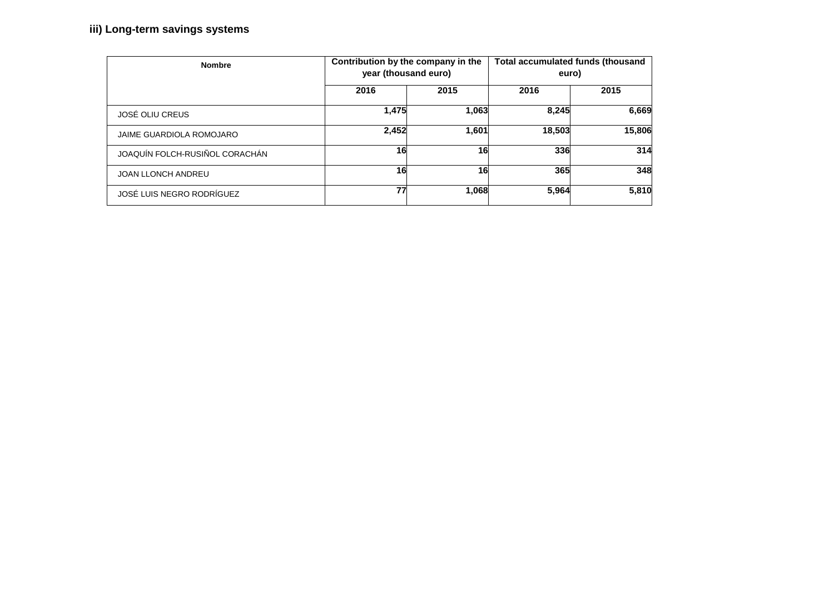## **iii) Long-term savings systems**

| <b>Nombre</b>                   |       | Contribution by the company in the<br>year (thousand euro) | Total accumulated funds (thousand<br>euro) |        |  |  |
|---------------------------------|-------|------------------------------------------------------------|--------------------------------------------|--------|--|--|
|                                 | 2016  | 2015                                                       | 2016                                       | 2015   |  |  |
| JOSÉ OLIU CREUS                 | 1,475 | 1,063                                                      | 8,245                                      | 6,669  |  |  |
| <b>JAIME GUARDIOLA ROMOJARO</b> | 2,452 | 1,601                                                      | 18,503                                     | 15,806 |  |  |
| JOAQUÍN FOLCH-RUSIÑOL CORACHÁN  | 16    | 16                                                         | 336                                        | 314    |  |  |
| <b>JOAN LLONCH ANDREU</b>       | 16    | 16                                                         | 365                                        | 348    |  |  |
| JOSÉ LUIS NEGRO RODRÍGUEZ       | 77    | 1,068                                                      | 5,964                                      | 5,810  |  |  |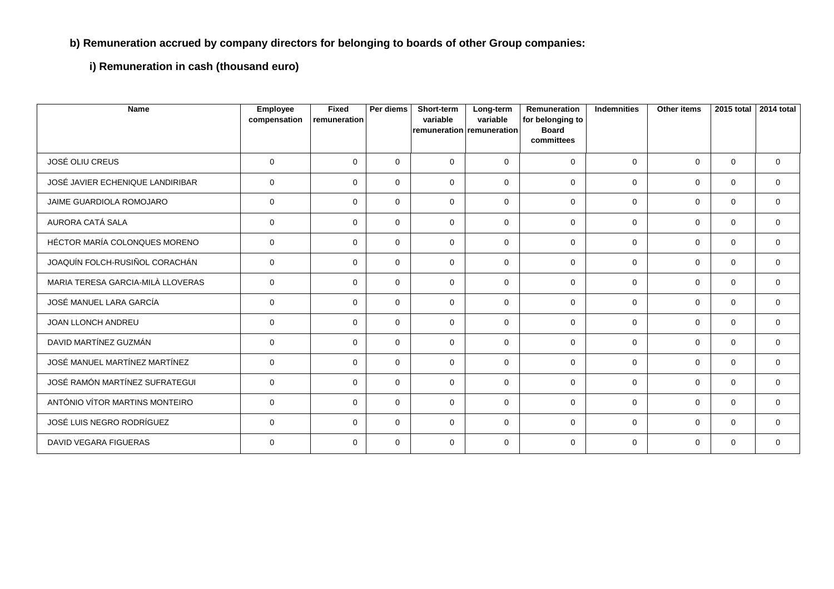## **b) Remuneration accrued by company directors for belonging to boards of other Group companies:**

**i) Remuneration in cash (thousand euro)**

| <b>Name</b>                       | <b>Employee</b><br>compensation | Fixed<br>remuneration | Per diems   | Short-term<br>variable<br>remuneration remuneration | Long-term<br>variable | <b>Remuneration</b><br>for belonging to<br><b>Board</b><br>committees | <b>Indemnities</b> | <b>Other items</b> | 2015 total  | 2014 total  |
|-----------------------------------|---------------------------------|-----------------------|-------------|-----------------------------------------------------|-----------------------|-----------------------------------------------------------------------|--------------------|--------------------|-------------|-------------|
| JOSÉ OLIU CREUS                   | $\mathbf 0$                     | $\mathbf{0}$          | $\mathbf 0$ | $\Omega$                                            | $\Omega$              | $\Omega$                                                              | $\Omega$           | $\Omega$           | $\mathbf 0$ | $\mathbf 0$ |
| JOSÉ JAVIER ECHENIQUE LANDIRIBAR  | $\mathbf 0$                     | $\mathbf{0}$          | $\mathbf 0$ | $\mathbf 0$                                         | $\Omega$              | $\mathbf 0$                                                           | $\Omega$           | $\mathbf 0$        | $\mathbf 0$ | $\mathbf 0$ |
| JAIME GUARDIOLA ROMOJARO          | $\mathbf 0$                     | $\Omega$              | $\Omega$    | $\mathbf 0$                                         | $\Omega$              | $\Omega$                                                              | $\Omega$           | $\Omega$           | $\Omega$    | $\Omega$    |
| AURORA CATÁ SALA                  | 0                               | $\mathbf{0}$          | $\mathbf 0$ | $\mathbf 0$                                         | $\Omega$              | $\mathbf 0$                                                           | $\Omega$           | $\mathbf 0$        | $\mathbf 0$ | $\mathbf 0$ |
| HÉCTOR MARÍA COLONQUES MORENO     | $\mathbf{0}$                    | $\mathbf{0}$          | $\mathbf 0$ | $\Omega$                                            | $\Omega$              | $\mathbf 0$                                                           | $\Omega$           | $\mathbf 0$        | $\mathbf 0$ | $\mathbf 0$ |
| JOAQUÍN FOLCH-RUSIÑOL CORACHÁN    | $\mathbf 0$                     | $\mathbf{0}$          | $\mathbf 0$ | $\mathbf 0$                                         | $\Omega$              | $\mathbf 0$                                                           | $\mathbf 0$        | $\mathbf 0$        | $\mathbf 0$ | 0           |
| MARIA TERESA GARCIA-MILÀ LLOVERAS | $\mathbf 0$                     | $\Omega$              | $\Omega$    | 0                                                   | $\Omega$              | $\mathbf 0$                                                           | $\Omega$           | $\Omega$           | 0           | $\mathbf 0$ |
| JOSÉ MANUEL LARA GARCÍA           | $\mathbf 0$                     | $\mathbf{0}$          | $\mathbf 0$ | $\mathbf 0$                                         | $\Omega$              | $\mathbf 0$                                                           | $\mathbf 0$        | $\mathbf 0$        | $\mathbf 0$ | $\mathbf 0$ |
| <b>JOAN LLONCH ANDREU</b>         | $\mathbf 0$                     | $\mathbf{0}$          | $\Omega$    | $\Omega$                                            | $\Omega$              | $\Omega$                                                              | $\Omega$           | $\Omega$           | $\mathbf 0$ | $\mathbf 0$ |
| DAVID MARTÍNEZ GUZMÁN             | 0                               | $\mathbf{0}$          | $\mathbf 0$ | $\mathbf 0$                                         | $\Omega$              | $\mathbf 0$                                                           | $\Omega$           | $\mathbf 0$        | $\mathbf 0$ | $\mathbf 0$ |
| JOSÉ MANUEL MARTÍNEZ MARTÍNEZ     | $\mathbf 0$                     | $\Omega$              | $\Omega$    | $\Omega$                                            | $\Omega$              | $\mathbf 0$                                                           | $\Omega$           | $\Omega$           | $\Omega$    | $\Omega$    |
| JOSÉ RAMÓN MARTÍNEZ SUFRATEGUI    | $\mathbf 0$                     | $\mathbf{0}$          | $\mathbf 0$ | $\mathbf 0$                                         | $\Omega$              | $\mathbf 0$                                                           | $\Omega$           | $\mathbf 0$        | $\mathbf 0$ | $\mathbf 0$ |
| ANTÓNIO VÍTOR MARTINS MONTEIRO    | $\mathbf 0$                     | $\mathbf{0}$          | $\mathbf 0$ | $\mathbf 0$                                         | $\Omega$              | $\mathbf 0$                                                           | $\Omega$           | $\mathbf 0$        | $\mathbf 0$ | $\mathbf 0$ |
| JOSÉ LUIS NEGRO RODRÍGUEZ         | $\mathbf 0$                     | $\mathbf 0$           | $\mathbf 0$ | $\mathbf 0$                                         | $\Omega$              | $\mathbf 0$                                                           | $\mathbf 0$        | $\mathbf 0$        | 0           | $\mathbf 0$ |
| <b>DAVID VEGARA FIGUERAS</b>      | $\mathbf 0$                     | $\mathbf 0$           | $\mathbf 0$ | $\mathbf 0$                                         | $\Omega$              | $\Omega$                                                              | $\Omega$           | $\Omega$           | $\Omega$    | $\Omega$    |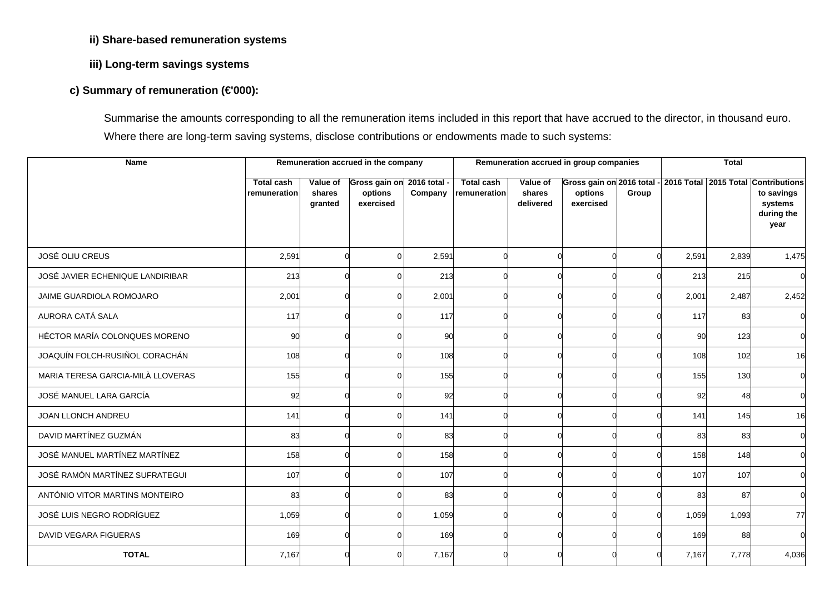## **ii) Share-based remuneration systems**

## **iii) Long-term savings systems**

## **c) Summary of remuneration (€'000):**

Summarise the amounts corresponding to all the remuneration items included in this report that have accrued to the director, in thousand euro. Where there are long-term saving systems, disclose contributions or endowments made to such systems:

| <b>Name</b>                       |                   |                   | Remuneration accrued in the company |              |                   |                     | Remuneration accrued in group companies          |          | <b>Total</b> |       |                       |
|-----------------------------------|-------------------|-------------------|-------------------------------------|--------------|-------------------|---------------------|--------------------------------------------------|----------|--------------|-------|-----------------------|
|                                   | <b>Total cash</b> | Value of          | Gross gain on                       | 2016 total - | <b>Total cash</b> | Value of            | Gross gain on 2016 total - 2016 Total 2015 Total |          |              |       | <b>Contributions</b>  |
|                                   | remuneration      | shares<br>granted | options<br>exercised                | Company      | remuneration      | shares<br>delivered | options<br>exercised                             | Group    |              |       | to savings<br>systems |
|                                   |                   |                   |                                     |              |                   |                     |                                                  |          |              |       | during the            |
|                                   |                   |                   |                                     |              |                   |                     |                                                  |          |              |       | year                  |
|                                   |                   |                   |                                     |              |                   |                     |                                                  |          |              |       |                       |
| JOSÉ OLIU CREUS                   | 2,591             |                   | $\Omega$                            | 2,591        |                   |                     |                                                  | $\Omega$ | 2,591        | 2,839 | 1,475                 |
| JOSÉ JAVIER ECHENIQUE LANDIRIBAR  | 213               |                   | $\Omega$                            | 213          |                   |                     | $\Omega$                                         |          | 213          | 215   |                       |
| JAIME GUARDIOLA ROMOJARO          | 2,001             |                   | 0                                   | 2,001        |                   |                     | ∩                                                | ∩        | 2,001        | 2,487 | 2,452                 |
| AURORA CATÁ SALA                  | 117               |                   | $\Omega$                            | 117          |                   |                     |                                                  |          | 117          | 83    |                       |
| HÉCTOR MARÍA COLONQUES MORENO     | 90                |                   | $\Omega$                            | 90           |                   |                     | $\Omega$                                         | $\Omega$ | 90           | 123   |                       |
| JOAQUÍN FOLCH-RUSIÑOL CORACHÁN    | 108               |                   | $\Omega$                            | 108          |                   |                     |                                                  |          | 108          | 102   | 16                    |
| MARIA TERESA GARCIA-MILÀ LLOVERAS | 155               |                   | $\Omega$                            | 155          |                   |                     |                                                  |          | 155          | 130   |                       |
| JOSÉ MANUEL LARA GARCÍA           | 92                |                   | $\Omega$                            | 92           |                   |                     | $\Omega$                                         |          | 92           | 48    |                       |
| JOAN LLONCH ANDREU                | 141               |                   | 0                                   | 141          |                   |                     |                                                  |          | 141          | 145   | 16                    |
| DAVID MARTÍNEZ GUZMÁN             | 83                |                   | $\Omega$                            | 83           |                   |                     |                                                  |          | 83           | 83    |                       |
| JOSÉ MANUEL MARTÍNEZ MARTÍNEZ     | 158               |                   | $\Omega$                            | 158          |                   |                     | $\Omega$                                         | ∩        | 158          | 148   |                       |
| JOSÉ RAMÓN MARTÍNEZ SUFRATEGUI    | 107               |                   | $\Omega$                            | 107          |                   |                     |                                                  |          | 107          | 107   |                       |
| ANTÓNIO VITOR MARTINS MONTEIRO    | 83                |                   | $\Omega$                            | 83           |                   |                     | ∩                                                |          | 83           | 87    |                       |
| JOSÉ LUIS NEGRO RODRÍGUEZ         | 1,059             |                   | 0                                   | 1,059        |                   |                     | ∩                                                | $\Omega$ | 1,059        | 1,093 | 77                    |
| DAVID VEGARA FIGUERAS             | 169               |                   | $\Omega$                            | 169          |                   |                     | $\Omega$                                         |          | 169          | 88    |                       |
| <b>TOTAL</b>                      | 7,167             |                   | $\Omega$                            | 7,167        |                   |                     |                                                  |          | 7,167        | 7,778 | 4,036                 |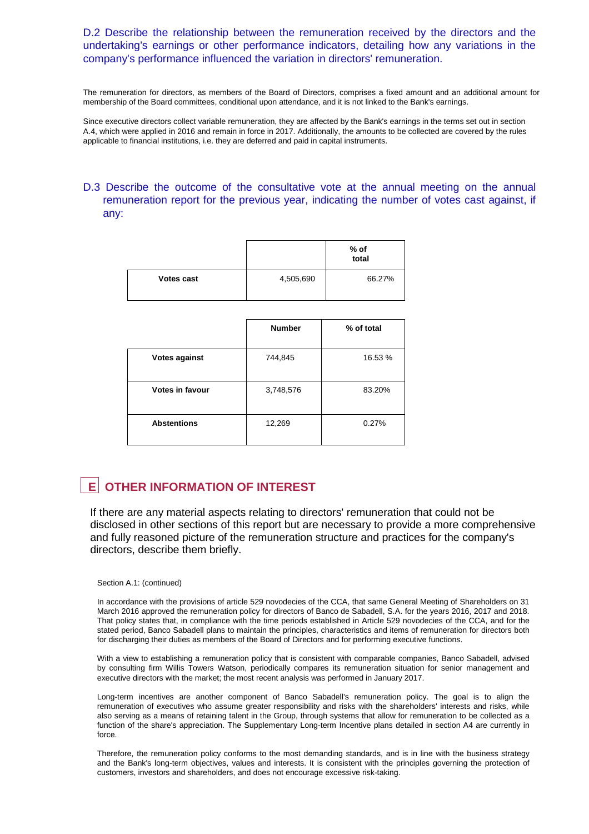## D.2 Describe the relationship between the remuneration received by the directors and the undertaking's earnings or other performance indicators, detailing how any variations in the company's performance influenced the variation in directors' remuneration.

The remuneration for directors, as members of the Board of Directors, comprises a fixed amount and an additional amount for membership of the Board committees, conditional upon attendance, and it is not linked to the Bank's earnings.

Since executive directors collect variable remuneration, they are affected by the Bank's earnings in the terms set out in section A.4, which were applied in 2016 and remain in force in 2017. Additionally, the amounts to be collected are covered by the rules applicable to financial institutions, i.e. they are deferred and paid in capital instruments.

## D.3 Describe the outcome of the consultative vote at the annual meeting on the annual remuneration report for the previous year, indicating the number of votes cast against, if any:

|            |           | % of<br>total |
|------------|-----------|---------------|
| Votes cast | 4,505,690 | 66.27%        |

|                      | <b>Number</b> | % of total |
|----------------------|---------------|------------|
| <b>Votes against</b> | 744,845       | 16.53 %    |
| Votes in favour      | 3,748,576     | 83.20%     |
| <b>Abstentions</b>   | 12,269        | 0.27%      |

## **E OTHER INFORMATION OF INTEREST**

If there are any material aspects relating to directors' remuneration that could not be disclosed in other sections of this report but are necessary to provide a more comprehensive and fully reasoned picture of the remuneration structure and practices for the company's directors, describe them briefly.

#### Section A.1: (continued)

In accordance with the provisions of article 529 novodecies of the CCA, that same General Meeting of Shareholders on 31 March 2016 approved the remuneration policy for directors of Banco de Sabadell, S.A. for the years 2016, 2017 and 2018. That policy states that, in compliance with the time periods established in Article 529 novodecies of the CCA, and for the stated period, Banco Sabadell plans to maintain the principles, characteristics and items of remuneration for directors both for discharging their duties as members of the Board of Directors and for performing executive functions.

With a view to establishing a remuneration policy that is consistent with comparable companies, Banco Sabadell, advised by consulting firm Willis Towers Watson, periodically compares its remuneration situation for senior management and executive directors with the market; the most recent analysis was performed in January 2017.

Long-term incentives are another component of Banco Sabadell's remuneration policy. The goal is to align the remuneration of executives who assume greater responsibility and risks with the shareholders' interests and risks, while also serving as a means of retaining talent in the Group, through systems that allow for remuneration to be collected as a function of the share's appreciation. The Supplementary Long-term Incentive plans detailed in section A4 are currently in force.

Therefore, the remuneration policy conforms to the most demanding standards, and is in line with the business strategy and the Bank's long-term objectives, values and interests. It is consistent with the principles governing the protection of customers, investors and shareholders, and does not encourage excessive risk-taking.